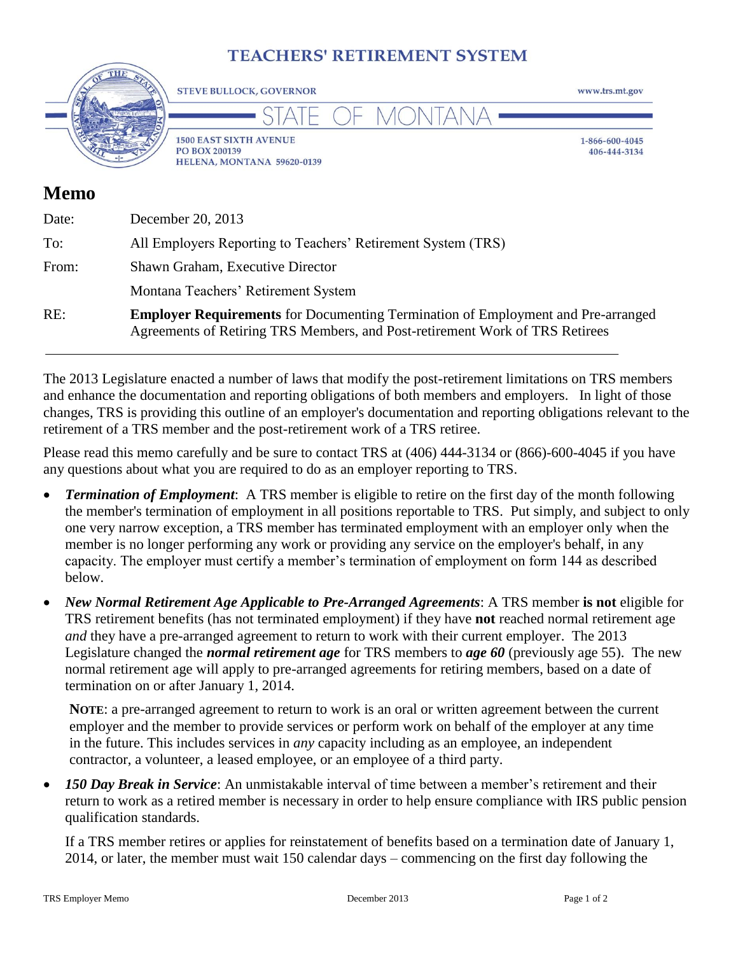# **TEACHERS' RETIREMENT SYSTEM**



| Date: | December 20, 2013                                                                                                                                                |
|-------|------------------------------------------------------------------------------------------------------------------------------------------------------------------|
| To:   | All Employers Reporting to Teachers' Retirement System (TRS)                                                                                                     |
| From: | Shawn Graham, Executive Director                                                                                                                                 |
|       | Montana Teachers' Retirement System                                                                                                                              |
| RE:   | <b>Employer Requirements</b> for Documenting Termination of Employment and Pre-a<br>Agreements of Retiring TRS Members, and Post-retirement Work of TRS Retirees |

The 2013 Legislature enacted a number of laws that modify the post-retirement limitations on TRS members and enhance the documentation and reporting obligations of both members and employers. In light of those changes, TRS is providing this outline of an employer's documentation and reporting obligations relevant to the retirement of a TRS member and the post-retirement work of a TRS retiree.

Please read this memo carefully and be sure to contact TRS at (406) 444-3134 or (866)-600-4045 if you have any questions about what you are required to do as an employer reporting to TRS.

- *Termination of Employment*: A TRS member is eligible to retire on the first day of the month following the member's termination of employment in all positions reportable to TRS. Put simply, and subject to only one very narrow exception, a TRS member has terminated employment with an employer only when the member is no longer performing any work or providing any service on the employer's behalf, in any capacity. The employer must certify a member's termination of employment on form 144 as described below.
- *New Normal Retirement Age Applicable to Pre-Arranged Agreements*: A TRS member **is not** eligible for TRS retirement benefits (has not terminated employment) if they have **not** reached normal retirement age *and* they have a pre-arranged agreement to return to work with their current employer. The 2013 Legislature changed the *normal retirement age* for TRS members to *age 60* (previously age 55). The new normal retirement age will apply to pre-arranged agreements for retiring members, based on a date of termination on or after January 1, 2014.

**NOTE**: a pre-arranged agreement to return to work is an oral or written agreement between the current employer and the member to provide services or perform work on behalf of the employer at any time in the future. This includes services in *any* capacity including as an employee, an independent contractor, a volunteer, a leased employee, or an employee of a third party.

 *150 Day Break in Service*: An unmistakable interval of time between a member's retirement and their return to work as a retired member is necessary in order to help ensure compliance with IRS public pension qualification standards.

If a TRS member retires or applies for reinstatement of benefits based on a termination date of January 1, 2014, or later, the member must wait 150 calendar days – commencing on the first day following the

Pre-arranged